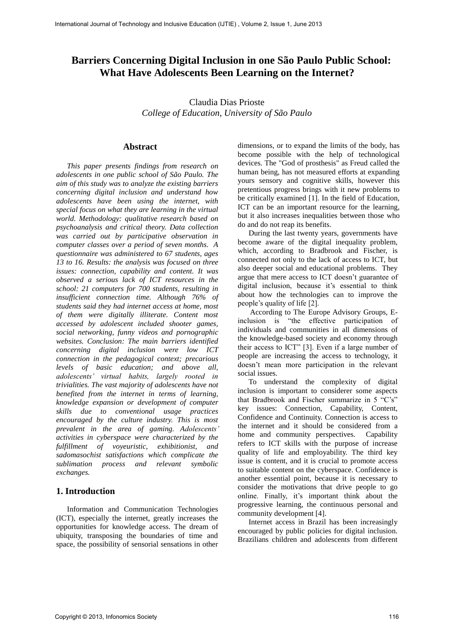# **Barriers Concerning Digital Inclusion in one São Paulo Public School: What Have Adolescents Been Learning on the Internet?**

Claudia Dias Prioste *College of Education, University of São Paulo* 

#### **Abstract**

*This paper presents findings from research on adolescents in one public school of São Paulo. The aim of this study was to analyze the existing barriers concerning digital inclusion and understand how adolescents have been using the internet, with special focus on what they are learning in the virtual world. Methodology: qualitative research based on psychoanalysis and critical theory. Data collection was carried out by participative observation in computer classes over a period of seven months. A questionnaire was administered to 67 students, ages 13 to 16. Results: the analysis was focused on three issues: connection, capability and content. It was observed a serious lack of ICT resources in the school: 21 computers for 700 students, resulting in insufficient connection time. Although 76% of students said they had internet access at home, most of them were digitally illiterate. Content most accessed by adolescent included shooter games, social networking, funny videos and pornographic websites. Conclusion: The main barriers identified concerning digital inclusion were low ICT connection in the pedagogical context; precarious levels of basic education; and above all, adolescents' virtual habits, largely rooted in trivialities. The vast majority of adolescents have not benefited from the internet in terms of learning, knowledge expansion or development of computer skills due to conventional usage practices encouraged by the culture industry. This is most prevalent in the area of gaming. Adolescents' activities in cyberspace were characterized by the fulfillment of voyeuristic, exhibitionist, and sadomasochist satisfactions which complicate the sublimation process and relevant symbolic exchanges.* 

### **1. Introduction**

Information and Communication Technologies (ICT), especially the internet, greatly increases the opportunities for knowledge access. The dream of ubiquity, transposing the boundaries of time and space, the possibility of sensorial sensations in other

dimensions, or to expand the limits of the body, has become possible with the help of technological devices. The "God of prosthesis" as Freud called the human being, has not measured efforts at expanding yours sensory and cognitive skills, however this pretentious progress brings with it new problems to be critically examined [1]. In the field of Education, ICT can be an important resource for the learning, but it also increases inequalities between those who do and do not reap its benefits.

During the last twenty years, governments have become aware of the digital inequality problem, which, according to Bradbrook and Fischer, is connected not only to the lack of access to ICT, but also deeper social and educational problems. They argue that mere access to ICT doesn't guarantee of digital inclusion, because it's essential to think about how the technologies can to improve the people's quality of life [2].

 According to The Europe Advisory Groups, Einclusion is "the effective participation of individuals and communities in all dimensions of the knowledge-based society and economy through their access to ICT" [3]. Even if a large number of people are increasing the access to technology, it doesn't mean more participation in the relevant social issues.

To understand the complexity of digital inclusion is important to considerer some aspects that Bradbrook and Fischer summarize in 5 "C's" key issues: Connection, Capability, Content, Confidence and Continuity. Connection is access to the internet and it should be considered from a home and community perspectives. Capability refers to ICT skills with the purpose of increase quality of life and employability. The third key issue is content, and it is crucial to promote access to suitable content on the cyberspace. Confidence is another essential point, because it is necessary to consider the motivations that drive people to go online. Finally, it's important think about the progressive learning, the continuous personal and community development [4].

Internet access in Brazil has been increasingly encouraged by public policies for digital inclusion. Brazilians children and adolescents from different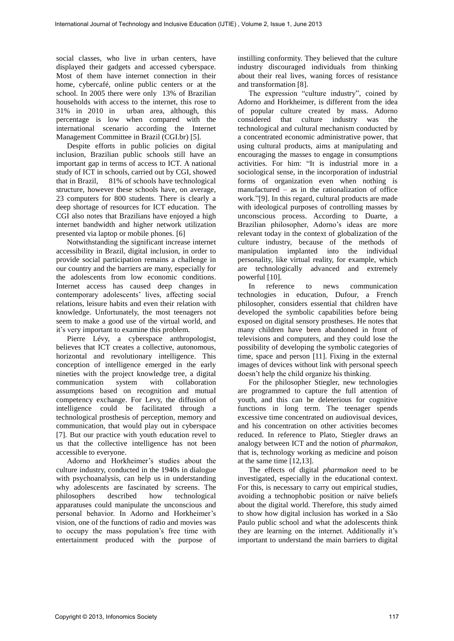social classes, who live in urban centers, have displayed their gadgets and accessed cyberspace. Most of them have internet connection in their home, cybercafé, online public centers or at the school. In 2005 there were only 13% of Brazilian households with access to the internet, this rose to 31% in 2010 in urban area, although, this percentage is low when compared with the international scenario according the Internet Management Committee in Brazil (CGI.br) [5].

Despite efforts in public policies on digital inclusion, Brazilian public schools still have an important gap in terms of access to ICT. A national study of ICT in schools, carried out by CGI, showed that in Brazil, 81% of schools have technological structure, however these schools have, on average, 23 computers for 800 students. There is clearly a deep shortage of resources for ICT education. The CGI also notes that Brazilians have enjoyed a high internet bandwidth and higher network utilization presented via laptop or mobile phones. [6]

Notwithstanding the significant increase internet accessibility in Brazil, digital inclusion, in order to provide social participation remains a challenge in our country and the barriers are many, especially for the adolescents from low economic conditions. Internet access has caused deep changes in contemporary adolescents' lives, affecting social relations, leisure habits and even their relation with knowledge. Unfortunately, the most teenagers not seem to make a good use of the virtual world, and it's very important to examine this problem.

Pierre Lévy, a cyberspace anthropologist, believes that ICT creates a collective, autonomous, horizontal and revolutionary intelligence. This conception of intelligence emerged in the early nineties with the project knowledge tree, a digital communication system with collaboration assumptions based on recognition and mutual competency exchange. For Levy, the diffusion of intelligence could be facilitated through a technological prosthesis of perception, memory and communication, that would play out in cyberspace [7]. But our practice with youth education revel to us that the collective intelligence has not been accessible to everyone.

Adorno and Horkheimer's studies about the culture industry, conducted in the 1940s in dialogue with psychoanalysis, can help us in understanding why adolescents are fascinated by screens. The philosophers described how technological apparatuses could manipulate the unconscious and personal behavior. In Adorno and Horkheimer's vision, one of the functions of radio and movies was to occupy the mass population's free time with entertainment produced with the purpose of instilling conformity. They believed that the culture industry discouraged individuals from thinking about their real lives, waning forces of resistance and transformation [8].

The expression "culture industry", coined by Adorno and Horkheimer, is different from the idea of popular culture created by mass. Adorno considered that culture industry was the technological and cultural mechanism conducted by a concentrated economic administrative power, that using cultural products, aims at manipulating and encouraging the masses to engage in consumptions activities. For him: "It is industrial more in a sociological sense, in the incorporation of industrial forms of organization even when nothing is manufactured – as in the rationalization of office work."[9]. In this regard, cultural products are made with ideological purposes of controlling masses by unconscious process. According to Duarte, a Brazilian philosopher, Adorno's ideas are more relevant today in the context of globalization of the culture industry, because of the methods of manipulation implanted into the individual personality, like virtual reality, for example, which are technologically advanced and extremely powerful [10].

In reference to news communication technologies in education, Dufour, a French philosopher, considers essential that children have developed the symbolic capabilities before being exposed on digital sensory prostheses. He notes that many children have been abandoned in front of televisions and computers, and they could lose the possibility of developing the symbolic categories of time, space and person [11]. Fixing in the external images of devices without link with personal speech doesn't help the child organize his thinking.

For the philosopher Stiegler, new technologies are programmed to capture the full attention of youth, and this can be deleterious for cognitive functions in long term. The teenager spends excessive time concentrated on audiovisual devices, and his concentration on other activities becomes reduced. In reference to Plato, Stiegler draws an analogy between ICT and the notion of *pharmakon*, that is, technology working as medicine and poison at the same time [12,13].

The effects of digital *pharmakon* need to be investigated, especially in the educational context. For this, is necessary to carry out empirical studies, avoiding a technophobic position or naïve beliefs about the digital world. Therefore, this study aimed to show how digital inclusion has worked in a São Paulo public school and what the adolescents think they are learning on the internet. Additionally it's important to understand the main barriers to digital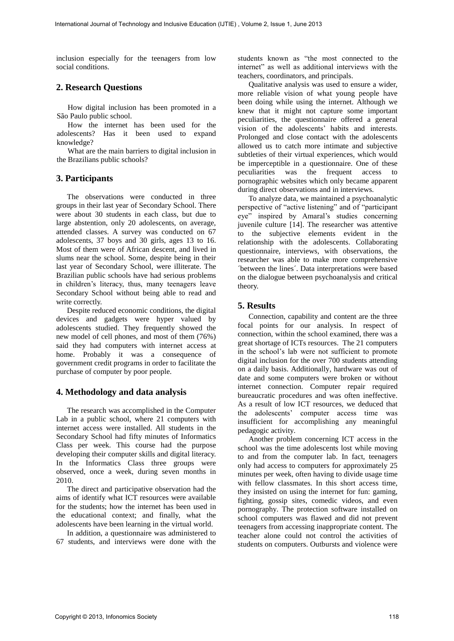inclusion especially for the teenagers from low social conditions.

### **2. Research Questions**

How digital inclusion has been promoted in a São Paulo public school.

How the internet has been used for the adolescents? Has it been used to expand knowledge?

What are the main barriers to digital inclusion in the Brazilians public schools?

# **3. Participants**

The observations were conducted in three groups in their last year of Secondary School. There were about 30 students in each class, but due to large abstention, only 20 adolescents, on average, attended classes. A survey was conducted on 67 adolescents, 37 boys and 30 girls, ages 13 to 16. Most of them were of African descent, and lived in slums near the school. Some, despite being in their last year of Secondary School, were illiterate. The Brazilian public schools have had serious problems in children's literacy, thus, many teenagers leave Secondary School without being able to read and write correctly.

Despite reduced economic conditions, the digital devices and gadgets were hyper valued by adolescents studied. They frequently showed the new model of cell phones, and most of them (76%) said they had computers with internet access at home. Probably it was a consequence of government credit programs in order to facilitate the purchase of computer by poor people.

#### **4. Methodology and data analysis**

The research was accomplished in the Computer Lab in a public school, where 21 computers with internet access were installed. All students in the Secondary School had fifty minutes of Informatics Class per week. This course had the purpose developing their computer skills and digital literacy. In the Informatics Class three groups were observed, once a week, during seven months in 2010.

The direct and participative observation had the aims of identify what ICT resources were available for the students; how the internet has been used in the educational context; and finally, what the adolescents have been learning in the virtual world.

In addition, a questionnaire was administered to 67 students, and interviews were done with the students known as "the most connected to the internet" as well as additional interviews with the teachers, coordinators, and principals.

Qualitative analysis was used to ensure a wider, more reliable vision of what young people have been doing while using the internet. Although we knew that it might not capture some important peculiarities, the questionnaire offered a general vision of the adolescents' habits and interests. Prolonged and close contact with the adolescents allowed us to catch more intimate and subjective subtleties of their virtual experiences, which would be imperceptible in a questionnaire. One of these peculiarities was the frequent access to pornographic websites which only became apparent during direct observations and in interviews.

To analyze data, we maintained a psychoanalytic perspective of "active listening" and of "participant eye" inspired by Amaral's studies concerning juvenile culture [14]. The researcher was attentive to the subjective elements evident in the relationship with the adolescents. Collaborating questionnaire, interviews, with observations, the researcher was able to make more comprehensive ´between the lines´. Data interpretations were based on the dialogue between psychoanalysis and critical theory.

## **5. Results**

Connection, capability and content are the three focal points for our analysis. In respect of connection, within the school examined, there was a great shortage of ICTs resources. The 21 computers in the school's lab were not sufficient to promote digital inclusion for the over 700 students attending on a daily basis. Additionally, hardware was out of date and some computers were broken or without internet connection. Computer repair required bureaucratic procedures and was often ineffective. As a result of low ICT resources, we deduced that the adolescents' computer access time was insufficient for accomplishing any meaningful pedagogic activity.

Another problem concerning ICT access in the school was the time adolescents lost while moving to and from the computer lab. In fact, teenagers only had access to computers for approximately 25 minutes per week, often having to divide usage time with fellow classmates. In this short access time, they insisted on using the internet for fun: gaming, fighting, gossip sites, comedic videos, and even pornography. The protection software installed on school computers was flawed and did not prevent teenagers from accessing inappropriate content. The teacher alone could not control the activities of students on computers. Outbursts and violence were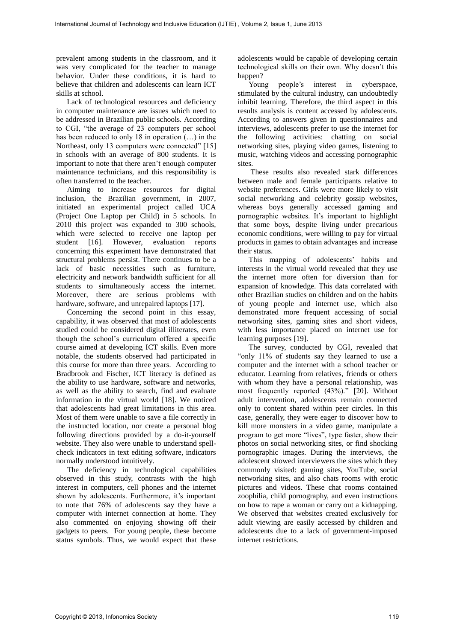prevalent among students in the classroom, and it was very complicated for the teacher to manage behavior. Under these conditions, it is hard to believe that children and adolescents can learn ICT skills at school.

Lack of technological resources and deficiency in computer maintenance are issues which need to be addressed in Brazilian public schools. According to CGI, "the average of 23 computers per school has been reduced to only 18 in operation (…) in the Northeast, only 13 computers were connected" [15] in schools with an average of 800 students. It is important to note that there aren't enough computer maintenance technicians, and this responsibility is often transferred to the teacher.

Aiming to increase resources for digital inclusion, the Brazilian government, in 2007, initiated an experimental project called UCA (Project One Laptop per Child) in 5 schools. In 2010 this project was expanded to 300 schools, which were selected to receive one laptop per student [16]. However, evaluation reports concerning this experiment have demonstrated that structural problems persist. There continues to be a lack of basic necessities such as furniture, electricity and network bandwidth sufficient for all students to simultaneously access the internet. Moreover, there are serious problems with hardware, software, and unrepaired laptops [17].

Concerning the second point in this essay, capability, it was observed that most of adolescents studied could be considered digital illiterates, even though the school's curriculum offered a specific course aimed at developing ICT skills. Even more notable, the students observed had participated in this course for more than three years. According to Bradbrook and Fischer, ICT literacy is defined as the ability to use hardware, software and networks, as well as the ability to search, find and evaluate information in the virtual world [18]. We noticed that adolescents had great limitations in this area. Most of them were unable to save a file correctly in the instructed location, nor create a personal blog following directions provided by a do-it-yourself website. They also were unable to understand spellcheck indicators in text editing software, indicators normally understood intuitively.

The deficiency in technological capabilities observed in this study, contrasts with the high interest in computers, cell phones and the internet shown by adolescents. Furthermore, it's important to note that 76% of adolescents say they have a computer with internet connection at home. They also commented on enjoying showing off their gadgets to peers. For young people, these become status symbols. Thus, we would expect that these adolescents would be capable of developing certain technological skills on their own. Why doesn't this happen?

Young people's interest in cyberspace, stimulated by the cultural industry, can undoubtedly inhibit learning. Therefore, the third aspect in this results analysis is content accessed by adolescents. According to answers given in questionnaires and interviews, adolescents prefer to use the internet for the following activities: chatting on social networking sites, playing video games, listening to music, watching videos and accessing pornographic sites.

 These results also revealed stark differences between male and female participants relative to website preferences. Girls were more likely to visit social networking and celebrity gossip websites, whereas boys generally accessed gaming and pornographic websites. It's important to highlight that some boys, despite living under precarious economic conditions, were willing to pay for virtual products in games to obtain advantages and increase their status.

This mapping of adolescents' habits and interests in the virtual world revealed that they use the internet more often for diversion than for expansion of knowledge. This data correlated with other Brazilian studies on children and on the habits of young people and internet use, which also demonstrated more frequent accessing of social networking sites, gaming sites and short videos, with less importance placed on internet use for learning purposes [19].

The survey, conducted by CGI, revealed that "only 11% of students say they learned to use a computer and the internet with a school teacher or educator. Learning from relatives, friends or others with whom they have a personal relationship, was most frequently reported (43%)." [20]. Without adult intervention, adolescents remain connected only to content shared within peer circles. In this case, generally, they were eager to discover how to kill more monsters in a video game, manipulate a program to get more "lives", type faster, show their photos on social networking sites, or find shocking pornographic images. During the interviews, the adolescent showed interviewers the sites which they commonly visited: gaming sites, YouTube, social networking sites, and also chats rooms with erotic pictures and videos. These chat rooms contained zoophilia, child pornography, and even instructions on how to rape a woman or carry out a kidnapping. We observed that websites created exclusively for adult viewing are easily accessed by children and adolescents due to a lack of government-imposed internet restrictions.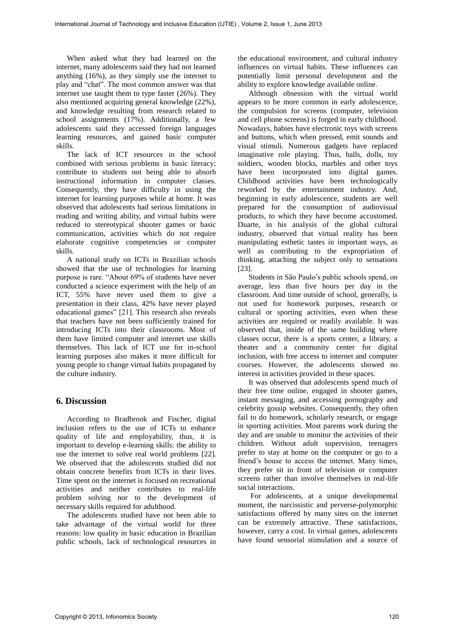When asked what they had learned on the internet, many adolescents said they had not learned anything (16%), as they simply use the internet to play and "chat". The most common answer was that internet use taught them to type faster (26%). They also mentioned acquiring general knowledge (22%), and knowledge resulting from research related to school assignments (17%). Additionally, a few adolescents said they accessed foreign languages learning resources, and gained basic computer skills.

The lack of ICT resources in the school combined with serious problems in basic literacy; contribute to students not being able to absorb instructional information in computer classes. Consequently, they have difficulty in using the internet for learning purposes while at home. It was observed that adolescents had serious limitations in reading and writing ability, and virtual habits were reduced to stereotypical shooter games or basic communication, activities which do not require elaborate cognitive competencies or computer skills.

A national study on ICTs in Brazilian schools showed that the use of technologies for learning purpose is rare. "About 69% of students have never conducted a science experiment with the help of an ICT, 55% have never used them to give a presentation in their class, 42% have never played educational games" [21]. This research also reveals that teachers have not been sufficiently trained for introducing ICTs into their classrooms. Most of them have limited computer and internet use skills themselves. This lack of ICT use for in-school learning purposes also makes it more difficult for young people to change virtual habits propagated by the culture industry.

## **6. Discussion**

According to Bradbrook and Fischer, digital inclusion refers to the use of ICTs to enhance quality of life and employability, thus, it is important to develop e-learning skills: the ability to use the internet to solve real world problems [22]. We observed that the adolescents studied did not obtain concrete benefits from ICTs in their lives. Time spent on the internet is focused on recreational activities and neither contributes to real-life problem solving nor to the development of necessary skills required for adulthood.

The adolescents studied have not been able to take advantage of the virtual world for three reasons: low quality in basic education in Brazilian public schools, lack of technological resources in the educational environment, and cultural industry influences on virtual habits. These influences can potentially limit personal development and the ability to explore knowledge available online.

Although obsession with the virtual world appears to be more common in early adolescence, the compulsion for screens (computer, television and cell phone screens) is forged in early childhood. Nowadays, babies have electronic toys with screens and buttons, which when pressed, emit sounds and visual stimuli. Numerous gadgets have replaced imaginative role playing. Thus, balls, dolls, toy soldiers, wooden blocks, marbles and other toys have been incorporated into digital games. Childhood activities have been technologically reworked by the entertainment industry. And, beginning in early adolescence, students are well prepared for the consumption of audiovisual products, to which they have become accustomed. Duarte, in his analysis of the global cultural industry, observed that virtual reality has been manipulating esthetic tastes in important ways, as well as contributing to the expropriation of thinking, attaching the subject only to sensations [23].

Students in São Paulo's public schools spend, on average, less than five hours per day in the classroom. And time outside of school, generally, is not used for homework purposes, research or cultural or sporting activities, even when these activities are required or readily available. It was observed that, inside of the same building where classes occur, there is a sports center, a library, a theater and a community center for digital inclusion, with free access to internet and computer courses. However, the adolescents showed no interest in activities provided in these spaces.

It was observed that adolescents spend much of their free time online, engaged in shooter games, instant messaging, and accessing pornography and celebrity gossip websites. Consequently, they often fail to do homework, scholarly research, or engage in sporting activities. Most parents work during the day and are unable to monitor the activities of their children. Without adult supervision, teenagers prefer to stay at home on the computer or go to a friend's house to access the internet. Many times, they prefer sit in front of television or computer screens rather than involve themselves in real-life social interactions.

 For adolescents, at a unique developmental moment, the narcissistic and perverse-polymorphic satisfactions offered by many sites on the internet can be extremely attractive. These satisfactions, however, carry a cost. In virtual games, adolescents have found sensorial stimulation and a source of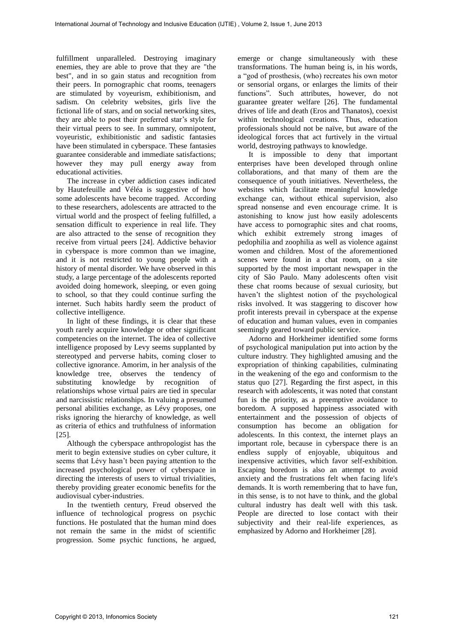fulfillment unparalleled. Destroying imaginary enemies, they are able to prove that they are "the best", and in so gain status and recognition from their peers. In pornographic chat rooms, teenagers are stimulated by voyeurism, exhibitionism, and sadism. On celebrity websites, girls live the fictional life of stars, and on social networking sites, they are able to post their preferred star's style for their virtual peers to see. In summary, omnipotent, voyeuristic, exhibitionistic and sadistic fantasies have been stimulated in cyberspace. These fantasies guarantee considerable and immediate satisfactions; however they may pull energy away from educational activities.

The increase in cyber addiction cases indicated by Hautefeuille and Véléa is suggestive of how some adolescents have become trapped. According to these researchers, adolescents are attracted to the virtual world and the prospect of feeling fulfilled, a sensation difficult to experience in real life. They are also attracted to the sense of recognition they receive from virtual peers [24]. Addictive behavior in cyberspace is more common than we imagine, and it is not restricted to young people with a history of mental disorder. We have observed in this study, a large percentage of the adolescents reported avoided doing homework, sleeping, or even going to school, so that they could continue surfing the internet. Such habits hardly seem the product of collective intelligence.

In light of these findings, it is clear that these youth rarely acquire knowledge or other significant competencies on the internet. The idea of collective intelligence proposed by Levy seems supplanted by stereotyped and perverse habits, coming closer to collective ignorance. Amorim, in her analysis of the knowledge tree, observes the tendency of substituting knowledge by recognition of relationships whose virtual pairs are tied in specular and narcissistic relationships. In valuing a presumed personal abilities exchange, as Lévy proposes, one risks ignoring the hierarchy of knowledge, as well as criteria of ethics and truthfulness of information [25].

Although the cyberspace anthropologist has the merit to begin extensive studies on cyber culture, it seems that Lévy hasn't been paying attention to the increased psychological power of cyberspace in directing the interests of users to virtual trivialities, thereby providing greater economic benefits for the audiovisual cyber-industries.

In the twentieth century, Freud observed the influence of technological progress on psychic functions. He postulated that the human mind does not remain the same in the midst of scientific progression. Some psychic functions, he argued, emerge or change simultaneously with these transformations. The human being is, in his words, a "god of prosthesis, (who) recreates his own motor or sensorial organs, or enlarges the limits of their functions"*.* Such attributes, however, do not guarantee greater welfare [26]. The fundamental drives of life and death (Eros and Thanatos), coexist within technological creations. Thus, education professionals should not be naïve, but aware of the ideological forces that act furtively in the virtual world, destroying pathways to knowledge.

It is impossible to deny that important enterprises have been developed through online collaborations, and that many of them are the consequence of youth initiatives. Nevertheless, the websites which facilitate meaningful knowledge exchange can, without ethical supervision, also spread nonsense and even encourage crime. It is astonishing to know just how easily adolescents have access to pornographic sites and chat rooms, which exhibit extremely strong images of pedophilia and zoophilia as well as violence against women and children. Most of the aforementioned scenes were found in a chat room, on a site supported by the most important newspaper in the city of São Paulo. Many adolescents often visit these chat rooms because of sexual curiosity, but haven't the slightest notion of the psychological risks involved. It was staggering to discover how profit interests prevail in cyberspace at the expense of education and human values, even in companies seemingly geared toward public service.

Adorno and Horkheimer identified some forms of psychological manipulation put into action by the culture industry. They highlighted amusing and the expropriation of thinking capabilities, culminating in the weakening of the ego and conformism to the status quo [27]. Regarding the first aspect, in this research with adolescents, it was noted that constant fun is the priority, as a preemptive avoidance to boredom. A supposed happiness associated with entertainment and the possession of objects of consumption has become an obligation for adolescents. In this context, the internet plays an important role, because in cyberspace there is an endless supply of enjoyable, ubiquitous and inexpensive activities, which favor self-exhibition. Escaping boredom is also an attempt to avoid anxiety and the frustrations felt when facing life's demands. It is worth remembering that to have fun, in this sense, is to not have to think, and the global cultural industry has dealt well with this task. People are directed to lose contact with their subjectivity and their real-life experiences, as emphasized by Adorno and Horkheimer [28].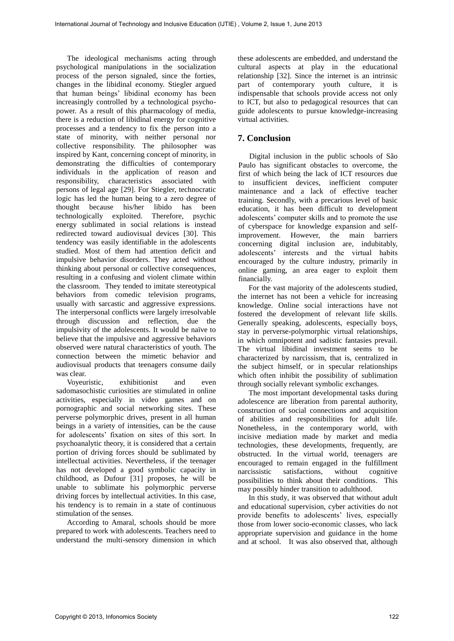The ideological mechanisms acting through psychological manipulations in the socialization process of the person signaled, since the forties, changes in the libidinal economy. Stiegler argued that human beings' libidinal economy has been increasingly controlled by a technological psychopower. As a result of this pharmacology of media, there is a reduction of libidinal energy for cognitive processes and a tendency to fix the person into a state of minority, with neither personal nor collective responsibility. The philosopher was inspired by Kant, concerning concept of minority, in demonstrating the difficulties of contemporary individuals in the application of reason and responsibility, characteristics associated with persons of legal age [29]. For Stiegler, technocratic logic has led the human being to a zero degree of thought because his/her libido has been technologically exploited. Therefore, psychic energy sublimated in social relations is instead redirected toward audiovisual devices [30]. This tendency was easily identifiable in the adolescents studied. Most of them had attention deficit and impulsive behavior disorders. They acted without thinking about personal or collective consequences, resulting in a confusing and violent climate within the classroom. They tended to imitate stereotypical behaviors from comedic television programs, usually with sarcastic and aggressive expressions. The interpersonal conflicts were largely irresolvable through discussion and reflection, due the impulsivity of the adolescents. It would be naïve to believe that the impulsive and aggressive behaviors observed were natural characteristics of youth. The connection between the mimetic behavior and audiovisual products that teenagers consume daily was clear.

Voyeuristic, exhibitionist and even sadomasochistic curiosities are stimulated in online activities, especially in video games and on pornographic and social networking sites. These perverse polymorphic drives, present in all human beings in a variety of intensities, can be the cause for adolescents' fixation on sites of this sort. In psychoanalytic theory, it is considered that a certain portion of driving forces should be sublimated by intellectual activities. Nevertheless, if the teenager has not developed a good symbolic capacity in childhood, as Dufour [31] proposes, he will be unable to sublimate his polymorphic perverse driving forces by intellectual activities. In this case, his tendency is to remain in a state of continuous stimulation of the senses.

According to Amaral, schools should be more prepared to work with adolescents. Teachers need to understand the multi-sensory dimension in which these adolescents are embedded, and understand the cultural aspects at play in the educational relationship [32]. Since the internet is an intrinsic part of contemporary youth culture, it is indispensable that schools provide access not only to ICT, but also to pedagogical resources that can guide adolescents to pursue knowledge-increasing virtual activities.

# **7. Conclusion**

Digital inclusion in the public schools of São Paulo has significant obstacles to overcome, the first of which being the lack of ICT resources due to insufficient devices, inefficient computer maintenance and a lack of effective teacher training. Secondly, with a precarious level of basic education, it has been difficult to development adolescents' computer skills and to promote the use of cyberspace for knowledge expansion and selfimprovement. However, the main barriers concerning digital inclusion are, indubitably, adolescents' interests and the virtual habits encouraged by the culture industry, primarily in online gaming, an area eager to exploit them financially.

For the vast majority of the adolescents studied, the internet has not been a vehicle for increasing knowledge. Online social interactions have not fostered the development of relevant life skills. Generally speaking, adolescents, especially boys, stay in perverse-polymorphic virtual relationships, in which omnipotent and sadistic fantasies prevail. The virtual libidinal investment seems to be characterized by narcissism, that is, centralized in the subject himself, or in specular relationships which often inhibit the possibility of sublimation through socially relevant symbolic exchanges.

The most important developmental tasks during adolescence are liberation from parental authority, construction of social connections and acquisition of abilities and responsibilities for adult life. Nonetheless, in the contemporary world, with incisive mediation made by market and media technologies, these developments, frequently, are obstructed. In the virtual world, teenagers are encouraged to remain engaged in the fulfillment narcissistic satisfactions, without cognitive possibilities to think about their conditions. This may possibly hinder transition to adulthood.

In this study, it was observed that without adult and educational supervision, cyber activities do not provide benefits to adolescents' lives, especially those from lower socio-economic classes, who lack appropriate supervision and guidance in the home and at school. It was also observed that, although